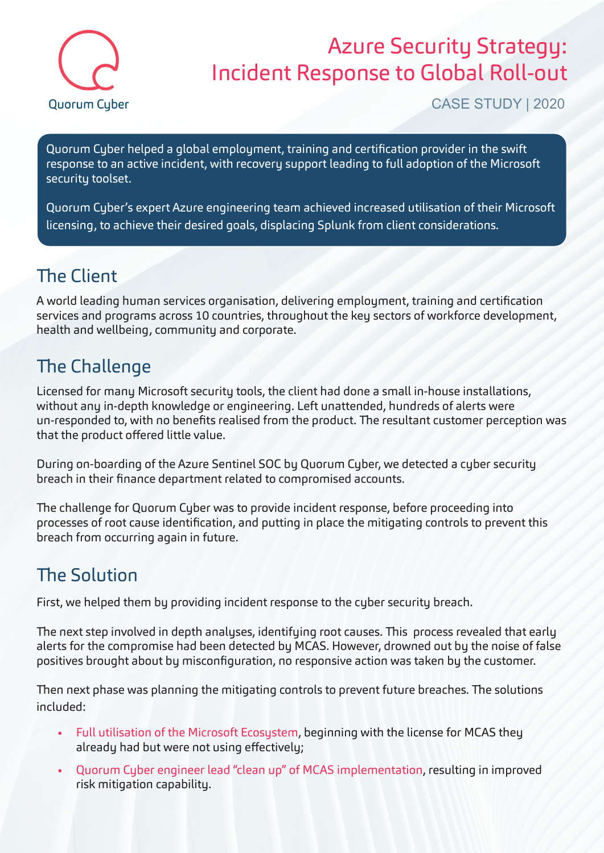

## Azure Security Strategy: Incident Response to Global Roll-out

CASE STUDY | 2020

Quorum Cyber helped a global employment, training and certification provider in the swift response to an active incident, with recovery support leading to full adoption of the Microsoft security toolset.

Quorum Cyber's expert Azure engineering team achieved increased utilisation of their Microsoft licensing, to achieve their desired goals, displacing Splunk from client considerations.

#### The Client

A world leading human services organisation, delivering employment, training and certification services and programs across 10 countries, throughout the key sectors of workforce development, health and wellbeing, community and corporate.

### The Challenge

Licensed for many Microsoft security tools, the client had done a small in-house installations, without any in-depth knowledge or engineering. Left unattended, hundreds of alerts were un-responded to, with no benefits realised from the product. The resultant customer perception was that the product offered little value.

During on-boarding of the Azure Sentinel SOC by Quorum Cyber, we detected a cyber security breach in their finance department related to compromised accounts.

The challenge for Quorum Cyber was to provide incident response, before proceeding into processes of root cause identification, and putting in place the mitigating controls to prevent this breach from occurring again in future.

#### The Solution

First, we helped them by providing incident response to the cyber security breach.

The next step involved in depth analyses, identifying root causes. This process revealed that early alerts for the compromise had been detected by MCAS. However, drowned out by the noise of false positives brought about by misconfiguration, no responsive action was taken by the customer.

Then next phase was planning the mitigating controls to prevent future breaches. The solutions included:

- Full utilisation of the Microsoft Ecosystem, beginning with the license for MCAS they already had but were not using effectively;
- Quorum Cyber engineer lead "clean up" of MCAS implementation, resulting in improved risk mitigation capability.